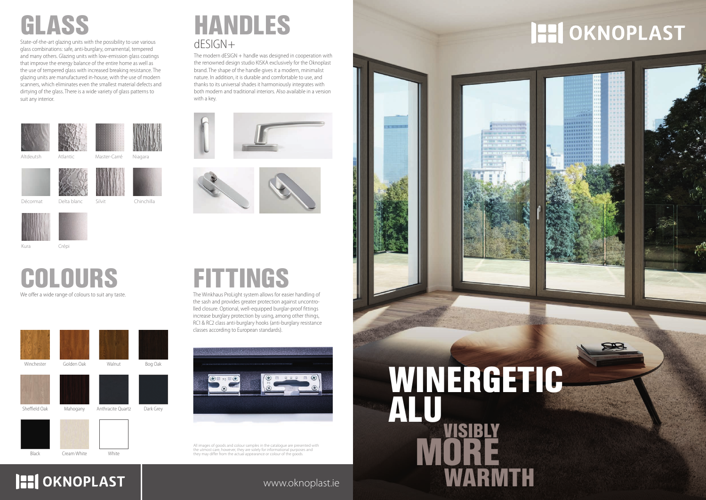www.oknoplast.ie

We offer a wide range of colours to suit any taste. COLOURS

State-of-the-art glazing units with the possibility to use various glass combinations: safe, anti-burglary, ornamental, tempered and many others. Glazing units with low-emission glass coatings that improve the energy balance of the entire home as well as the use of tempered glass with increased breaking resistance. The glazing units are manufactured in-house, with the use of modern scanners, which eliminates even the smallest material defects and dirtying of the glass. There is a wide variety of glass patterns to suit any interior.





Niagara

Altdeutsh Atlantic Master-Carré

Silvit Chinchilla





Winchester Golden Oak Malnut Bog Oak Sheffield Oak Mahogany Anthracite Quartz Dark Grey

## dESIGN+ HANDLES

The modern dESIGN + handle was designed in cooperation with the renowned design studio KISKA exclusively for the Oknoplast brand. The shape of the handle gives it a modern, minimalist nature. In addition, it is durable and comfortable to use, and thanks to its universal shades it harmoniously integrates with both modern and traditional interiors. Also available in a version with a key.







## **HI OKNOPLAST**



The Winkhaus ProLight system allows for easier handling of the sash and provides greater protection against uncontrolled closure. Optional, well-equipped burglar-proof fittings increase burglary protection by using, among other things, RC1 & RC2 class anti-burglary hooks (anti-burglary resistance classes according to European standards).



All images of goods and colour samples in the catalogue are presented with<br>the utmost care, however, they are solely for informational purposes and<br>they may differ from the actual appearance or colour of the goods.